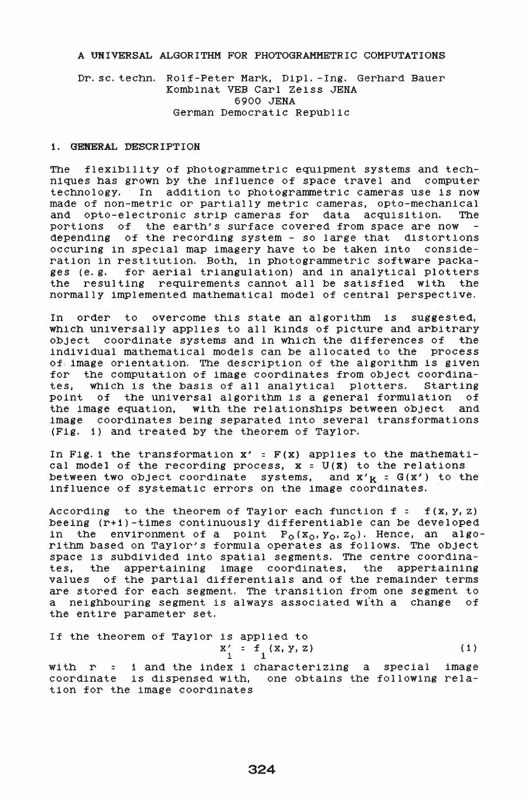# A UNIVERSAL ALGORITHM FOR PHOTOGRAMMETRIC COMPUTATIONS

# Dr. SC. techn. Rolf-Peter Mark, Dipl. -Ing. Gerhard Bauer Kombinat VEB Carl Zeiss JENA 6900 JENA German Democratic Republic

## 1. GENERAL DESCRIPTION

The flexibility of photogrammetric equipment systems and techniques has grown by the influence of space travel and computer technology. In addition to photogrammetric cameras use is now made of non-metric or partially metric cameras, opto-mechanical and opto-electronic strip cameras for data acquisition. portions of the earth's surface covered from space are now  $\sim$ depending of the recording system - so large that distortions occuring in special map imagery have to be taKen into consideration in restitution. Both, in photogrammetric software pacKages (e. g. for aerial triangulation) and in analytical plotters the resulting requirements cannot all be satisfied with the normally implemented mathematical model of central perspective.

In order to overcome this state an algorithm is suggested, which universally applies to all Kinds of picture and arbitrary object coordinate systems and in which the differences of the individual mathematical models can be allocated to the process of; image orientation. The description of the algorithm is given for the computation of image coordinates from object coordina-<br>tes. which is the basis of all analytical plotters. Starting tes, which is the basis of all analytical plotters. point of the universal algorithm is a general formulation of the image equation, with the relationships between object and image coordinates being separated into several transformations (Fig. 1) and treated by the theorem of Taylor.

In Fig. 1 the transformation  $x' = F(x)$  applies to the mathematical model of the recording process,  $x = U(x)$  to the relations between two object coordinate systems, and  $x'_{K} = G(x')$  to the influence of systematic errors on the image coordinates.

According to the theorem of Taylor each function  $f = f(x, y, z)$ beeing (r+1)-times continuously differentiable can be developed in the environment of a point  $P_0(x_0, y_0, z_0)$ . Hence, an algorithm based on Taylor's formula operates as follows. The object space is subdivided into spatial segments. The centre coordinates, the appertaining image coordinates, the appertaining values of the partial differentials and of the remainder terms are stored for each segment. The transition from one segment to a neighbouring segment is always aSSOCiated with a change of the entire parameter set.

If the theorem of Taylor is applied to  
\n
$$
x' = f(x, y, z)
$$
\n(1)

with r = 1 and the index i characterizing a special image coordinate is dispensed with, one obtains the following relation for the image coordinates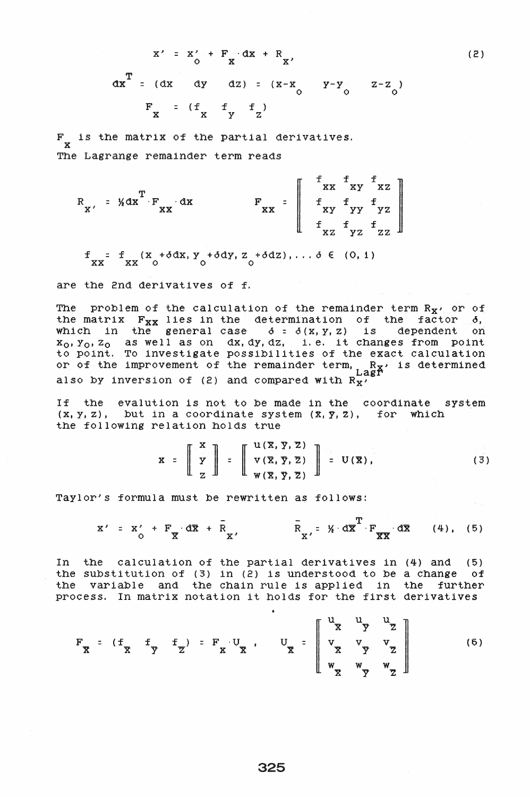$$
x' = x' + F_x dx + R_x
$$
  
\n
$$
dx^{T} = (dx + dy + dz) = (x-x_0 + y-y_0 + z-z_0)
$$
  
\n
$$
F_x = (f_x + f_y + f_z)
$$

(2)

F is the matrix of the partial derivatives.<br>
X The Lagrange remainder term reads

 $\begin{array}{ccc}\n\mathbf{T} & \mathbf{F} & \mathbf{d}\mathbf{x} \\
\mathbf{X} & \mathbf{X} & \mathbf{F} \\
\mathbf{X} & \mathbf{X} & \mathbf{F} \\
\mathbf{X} & \mathbf{X} & \mathbf{F} \\
\mathbf{X} & \mathbf{X} & \mathbf{F} \\
\mathbf{X} & \mathbf{X} & \mathbf{F} \\
\mathbf{X} & \mathbf{X} & \mathbf{F} \\
\mathbf{X} & \mathbf{X} & \mathbf{F} \\
\mathbf{X} & \mathbf{X} & \mathbf{F} \\
\mathbf{X} & \mathbf{X} & \mathbf{F}$  $R_{X'} = \frac{1}{2}dX + F_{XX} dX$  $X'$  xx  $X$  xx  $\begin{array}{c} x' \\ x \end{array}$  xx  $\begin{array}{c} x \\ x \end{array}$  xy  $\begin{array}{c} x \\ y \end{array}$  $f_{XZ}$   $f_{YZ}$  $f_{\rm xz}$  $\mathbf{f}_{\mathbf{y}\mathbf{z}}$  $\begin{bmatrix} f & f \\ f & g \\ f & g \\ f & g \end{bmatrix}$ 

 $f_{\rm XX}$  = f  $_{\rm XX}$  (x +  $\delta$  dx, y +  $\delta$  dy, z +  $\delta$  dz), ...  $\delta \in (0, 1)$ 

are the 2nd derivatives of f.

The problem of the calculation of the remainder term  $R_X$ , or of<br>the matrix  $F_{XX}$  lies in the determination of the factor  $\delta$ , the matrix Fxx lies in the determination of the factor **6,**  which in the general case  $\delta = \delta(x, y, z)$  is dependent on xo,Yo, Zo as well as on dx,dy,dz, **i.** e. it changes from point to point. To investigate possibilities of the exact calculation or of the improvement of the remainder term,  $R_X$  is determined also by inversion of (2) and compared with  $R_{\mathbf{X}'}$  . Lagrenously inversion of (2) and compared with  $R_{\mathbf{X}'}$ 

If the evalution is not to be made in the coordinate system  $(x, y, z)$ , but in a coordinate system  $(x, y, z)$ , for which the following relation holds true

relation holds true  

$$
\mathbf{x} = \begin{bmatrix} \mathbf{x} \\ \mathbf{y} \\ \mathbf{z} \end{bmatrix} = \begin{bmatrix} \mathbf{u}(\mathbf{x}, \mathbf{y}, \mathbf{z}) \\ \mathbf{v}(\mathbf{x}, \mathbf{y}, \mathbf{z}) \\ \mathbf{w}(\mathbf{x}, \mathbf{y}, \mathbf{z}) \end{bmatrix} = \mathbf{U}(\mathbf{x}), \qquad (3)
$$

Taylor's formula must be rewritten as follows:

$$
x' = x' + F_x d\overline{x} + \overline{R}_x, \qquad \overline{R}_x = \frac{1}{2} d\overline{x} + \frac{1}{2} d\overline{x}
$$
 (4), (5)

In the calculation of the partial derivatives in (4) and (5) the substitution of  $(3)$  in  $(2)$  is understood to be a change of the variable and the chain rule is applied in the further process. In matrix notation it holds for the first derivatives

$$
F_{\overline{X}} = (f_{\overline{X}} + f_{\overline{Y}}) = F_{\overline{X}} \cdot U_{\overline{X}}, \quad U_{\overline{X}} = \begin{bmatrix} U_{\overline{X}} & U_{\overline{Y}} & U_{\overline{Z}} \\ V_{\overline{X}} & V_{\overline{Y}} & V_{\overline{Z}} \\ W_{\overline{X}} & W_{\overline{Y}} & W_{\overline{Z}} \end{bmatrix}
$$
(6)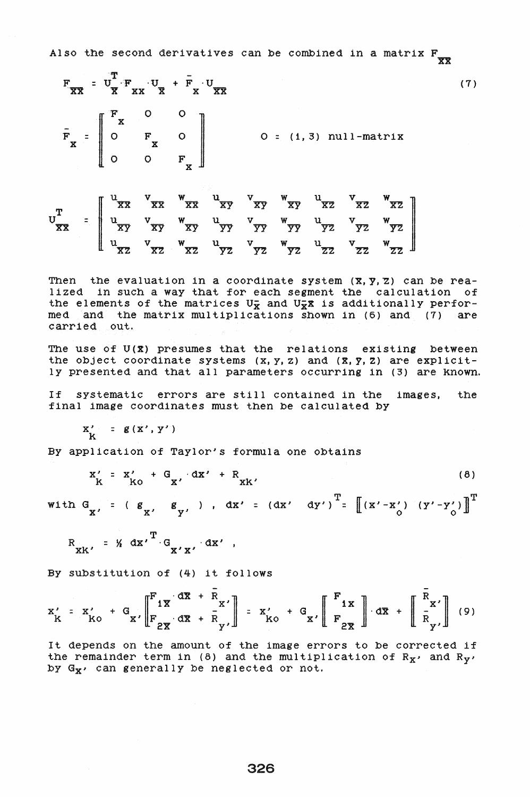Also the second derivatives can be combined in a matrix  $\mathbf{F}_{\mathbf{XX}}$ 

$$
F_{\overline{XX}} = U_{\overline{X}^T X X X X X}^T + F_{X} U_{\overline{XX}}
$$
(7)  

$$
F_{\overline{X}} = \begin{bmatrix} F_{X} & 0 & 0 \\ 0 & F_{X} & 0 \\ 0 & 0 & F_{X} \end{bmatrix} \qquad 0 = (1, 3) \text{ null-matrix}
$$
  

$$
U_{\overline{XX}}^T = \begin{bmatrix} U_{\overline{XX}} & V_{\overline{XX}} & W_{\overline{XX}} & U_{\overline{XY}} & V_{\overline{XY}} & W_{\overline{XY}} & W_{\overline{XY}} & W_{\overline{XY}} \\ U_{\overline{XY}} & V_{\overline{XY}} & W_{\overline{XY}} & U_{\overline{YY}} & V_{\overline{YY}} & W_{\overline{YY}} & U_{\overline{YZ}} & W_{\overline{YZ}} \\ U_{\overline{XZ}} & V_{\overline{XY}} & W_{\overline{XY}} & U_{\overline{YY}} & V_{\overline{YY}} & W_{\overline{YY}} & U_{\overline{YZ}} & V_{\overline{YZ}} & W_{\overline{YZ}} \\ U_{\overline{XZ}} & V_{\overline{XZ}} & W_{\overline{XZ}} & U_{\overline{YZ}} & V_{\overline{YZ}} & W_{\overline{ZZ}} & U_{\overline{ZZ}} \end{bmatrix}
$$
(7)

Then the evaluation in a coordinate system  $(X, Y, Z)$  can be realized in such a way that for each segment the calculation of the elements of the matrices  $U_X^-$  and  $U_X^-X$  is additionally performed and the matrix multiplications shown in (6) and (7) are carried out.

 $\frac{u}{XZ}$  v<sub>xz</sub> w<sub>xz</sub>  $\frac{u}{YZ}$  v<sub>yz</sub> w<sub>yz</sub>  $\frac{u}{YZ}$  v<sub>zz</sub> w<sub>z</sub>

The use of U(X) presumes that the relations existing between the object coordinate systems  $(x, y, z)$  and  $(\bar{x}, \bar{y}, \bar{z})$  are explicitly presented and that all parameters occurring in (3) are known.

If systematic errors are still contained in the images, the final image coordinates must then be calculated by

 $X' = g(X', Y')$ k

By application of Taylor's formula one obtains

$$
x'_{K} = x'_{KO} + G_{X'} dx' + R_{XK'} \qquad (8)
$$

with  $G_{X'} = (g_{X'} - g_{Y'})$ ,  $dx' = (dx' - dy')^{T} = [(x' - x'')'(y' - y'')]^{T}$ 

$$
R_{XK'} = X dx'T GX'X' dx',
$$

By substitution of (4) it follows

$$
x'_{K} = x'_{K0} + G_{x'} \left[ F_{2\overline{x}} \frac{d\overline{x} + \overline{R}_{x'}}{d\overline{x} + \overline{R}_{y'}} \right] = x'_{K0} + G_{x'} \left[ F_{2\overline{x}} \right] d\overline{x} + \left[ \frac{\overline{R}_{x'}}{R_{y'}} \right] (9)
$$

It depends on the amount of the image errors to be corrected if the remainder term in (8) and the multiplication of  $R_X$ , and  $R_Y$ , by  $G_X$ , can generally be neglected or not.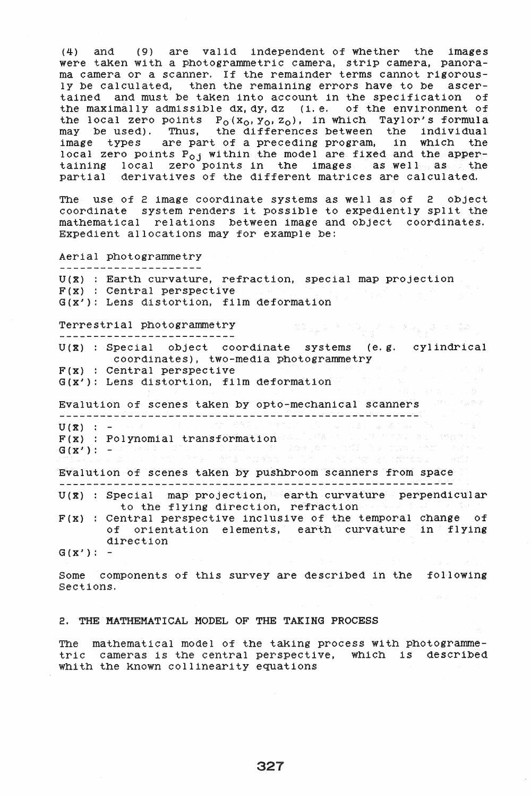(4) and (9) are valid independent of whether the images were taken with a photogrammetric camera, strip camera, panorama camera or a scanner. If the remainder terms cannot rigorously be calculated, then the remaining errors have to be ascertained and must be taken into account in the specification of the maximally admissible dx,dy, dz (i. e. of the environment of the local zero points  $P_0(x_0, y_0, z_0)$ , in which Taylor's formula may be used). Thus, the differences between the individual image types are part of a preceding program, in which the local zero points P<sub>oj</sub> within the model are fixed and the appertaining local zero points in the images as well as the partial derivatives of the different matrices are calculated.

The use of 2 image coordinate systems as well as of 2 object coordinate system renders it possible to expediently split the mathematical relations between image and object coordinates. Expedient allocations may for example be:

Aerial photogrammetry

U(X) : Earth curvature, refraction, special map projection F(x) : Central perspective G(x'): Lens distortion, film deformation

Terrestrial photogrammetry

U(X) : Special object coordinate systems (e.g. cylindrical coordinates), two-media photogrammetry  $F(x)$  : Central perspective

i da ji ji ku navçeya ku gundê ya ya gundê ya ya gundê ya gundê ya gundê ya gundê ya gundê ya gundê ya gundê y

in payer of the

 $G(X')$ : Lens distortion, film deformation

Evalution of scenes taken by opto-mechanical scanners  $U(2)$  :  $-$ 

F(x) : Polynomial transformation and sea a  $G(X') : -$ 

 $\mathcal{P}^{\text{c}}(\mathbb{R}^n) \cong \mathcal{P}^{\text{c}}(\mathbb{R}^n) \cong \mathcal{P}^{\text{c}}(\mathbb{R}^n) \cong \mathcal{P}^{\text{c}}(\mathbb{R}^n)$ Evalution of scenes taken by pushbroom scanners from space

 $U(x) = Special - map \text{ projection} \text{for all } x \in \mathbb{R}$ to the flying direction, refraction

 $F(X)$  : Central perspective inclusive of the temporal change of of orientation elements, earth curvature in flying direction

 $G(X') : -$ 

Some components of this survey are described in the folloWing Sections.

# 2. THE MATHEMATICAL MODEL OF THE TAKING PROCESS

The mathematical model of the taking process with photogrammetric cameras is the central perspective, which is described whith the known collinearity equations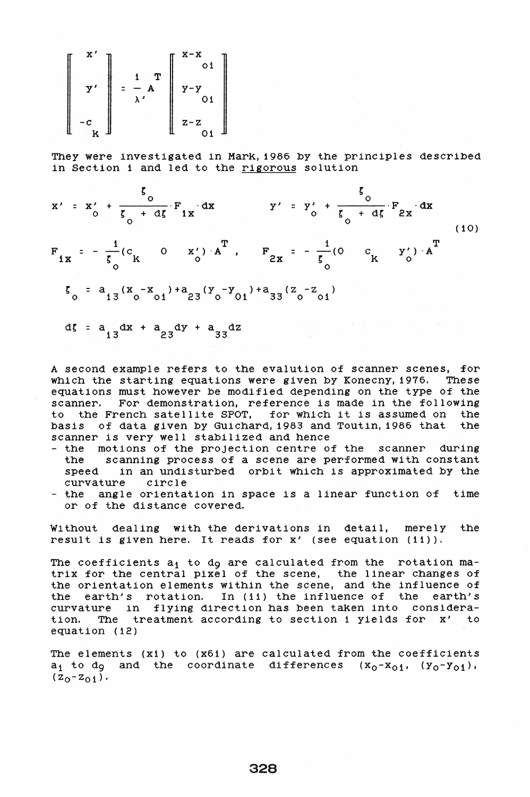$$
\begin{bmatrix} x' \\ y' \\ -c \\ -c \\ -c \end{bmatrix} = \frac{1}{\lambda} \begin{bmatrix} x \\ x \\ x \end{bmatrix} \begin{bmatrix} x-x \\ y-y \\ y-y \\ 01 \\ z-z \\ 01 \end{bmatrix}
$$

They were investigated in Mark, 1986 by the principles described in Section 1 and led to the rigorous solution



A second example refers to the evalution of scanner scenes, for which the starting equations were given by Konecny, 1976. These equations must however be modified depending on the type of the scanner. For demonstration, reference is made in the following to the French satellite SPOT, for which it is assumed on the basis of data given by Guichard, 1983 and Toutin, 1986 that the basis of data given by Guichard, 1983 and Toutin, 1986 that scanner is very well stabilized and hence

- the motions of the projection centre of the scanner during the scanning process of a scene are performed with constant speed in an undisturbed orbit which is approximated by the curvature circle
- the angle orientation in space is a linear function of time or of the distance covered.

Without dealing with the derivations in detail, merely the result is given here. It reads for x' (see equation (11)).

The coefficients  $a_1$  to  $d_9$  are calculated from the rotation matrix for the central pixel of the scene, the linear changes of the orientation elements within the scene, and the influence of the earth/s rotation. In (11) the influence of the earth/s curvature in flying direction has been taken into consideration. The treatment according to section 1 yields for x' to equation (i2)

The elements (x1) to (x61) are calculated from the coefficients  $a_1$  to d<sub>9</sub> and the coordinate differences  $(x_0-x_{01}, (y_0-y_{01}),$  $(z_0-z_{01})$ .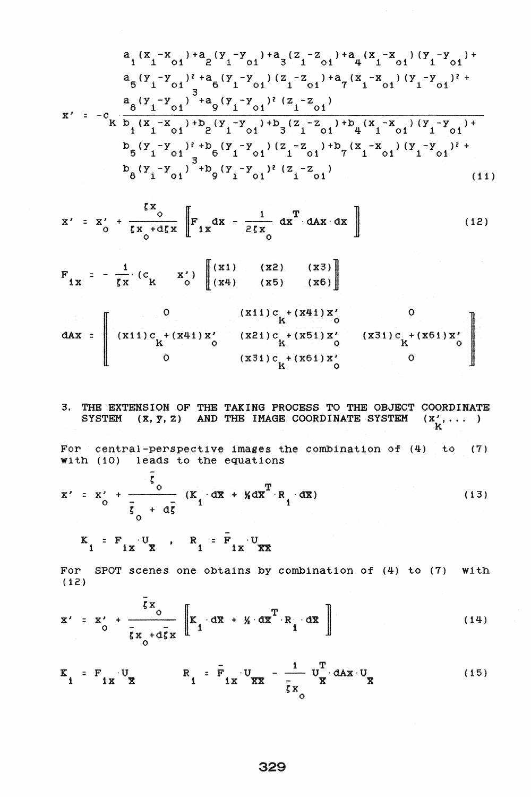$$
a_{1} (x_{1} - x_{01}) + a_{2} (y_{1} - y_{01}) + a_{3} (z_{1} - z_{01}) + a_{4} (x_{1} - x_{01}) (y_{1} - y_{01}) + a_{5} (y_{1} - y_{01})^{2} + a_{6} (y_{1} - y_{01}) (z_{1} - z_{01}) + a_{7} (x_{1} - x_{01}) (y_{1} - y_{01})^{2} + a_{8} (y_{1} - y_{01})^{3} + a_{9} (y_{1} - y_{01})^{2} (z_{1} - z_{01})
$$
\n
$$
x' = -c_{k} \frac{a_{8} (y_{1} - y_{01})^{3} + a_{9} (y_{1} - y_{01})^{2} (z_{1} - z_{01})}{1 + a_{1} (x_{1} - x_{01}) + b_{2} (y_{1} - y_{01}) + b_{3} (z_{1} - z_{01}) + b_{4} (x_{1} - x_{01}) (y_{1} - y_{01}) + a_{5} (y_{1} - y_{01})^{2} + b_{6} (y_{1} - y_{01}) (z_{1} - z_{01}) + b_{7} (x_{1} - x_{01}) (y_{1} - y_{01})^{2} + a_{8} (y_{1} - y_{01})^{3} + b_{9} (y_{1} - y_{01})^{2} (z_{1} - z_{01})
$$
\n
$$
b_{8} (y_{1} - y_{01})^{3} + b_{9} (y_{1} - y_{01})^{2} (z_{1} - z_{01})
$$
\n
$$
(11)
$$

$$
x' = x'_{0} + \frac{\zeta x_{0}}{\zeta x_{0} + d\zeta x} \left[ F_{1x} dx - \frac{1}{2\zeta x_{0}} dx^{T} dx dx dx \right]
$$
 (12)

$$
F_{1X} = -\frac{1}{\zeta X} (c_{K} - x') \begin{bmatrix} (x1) & (x2) & (x3) \\ (x4) & (x5) & (x6) \end{bmatrix}
$$

 $\left| \begin{array}{c} \hline \hline \hline \hline \hline \hline \end{array} \right|$ 0 (x11)c + (x41)x' 0<br>+ (x41)x' (x21)c + (x51)x' (x31)c + (x61)x' 0<br>0 (x31)c + (x61)x' 0 dAx =  $(X11) c_K^+ (x41) x'_0$  (x21)c +(x51)x' (x31)c +(x61)x' (x<sup>-</sup>) 0  $(X31) c<sub>K</sub>+(X61) X'$  0

3. THE EXTENSION OF THE TAKING PROCESS TO THE OBJECT COORDINATE SYSTEM  $(x, y, z)$  and the IMAGE COORDINATE SYSTEM  $(x', \ldots)$ For central-perspective images the combination of (4) to (7)

with (10) leads to the equations  
\n
$$
\bar{\xi}
$$

$$
x' = x' + \frac{\partial}{\partial} (K_1 \cdot d\overline{x} + \gamma d\overline{x}^T \cdot R_1 \cdot d\overline{x})
$$
 (13)

$$
K_{1} = F_{1X} U_{1X} R_{1} = F_{1X} U_{1X}
$$

For SPOT scenes one obtains by combination of (4) to (7) with  $(12)$ 

$$
x' = x'_{0} + \frac{\bar{\zeta}x_{0}}{\bar{\zeta}x_{0} + d\bar{\zeta}x} \left[ K_{1} \cdot d\bar{x} + \gamma_{1} \cdot d\bar{x}^{T} \cdot R_{1} \cdot d\bar{x} \right]
$$
 (14)

$$
K_{1} = F_{1X} \cdot U_{\overline{X}}
$$
  $R_{1} = \overline{F}_{1X} \cdot U_{\overline{X}\overline{X}}$   $- \frac{1}{\overline{g}X} \cdot U_{\overline{X}} \cdot dAx \cdot U_{\overline{X}}$  (15)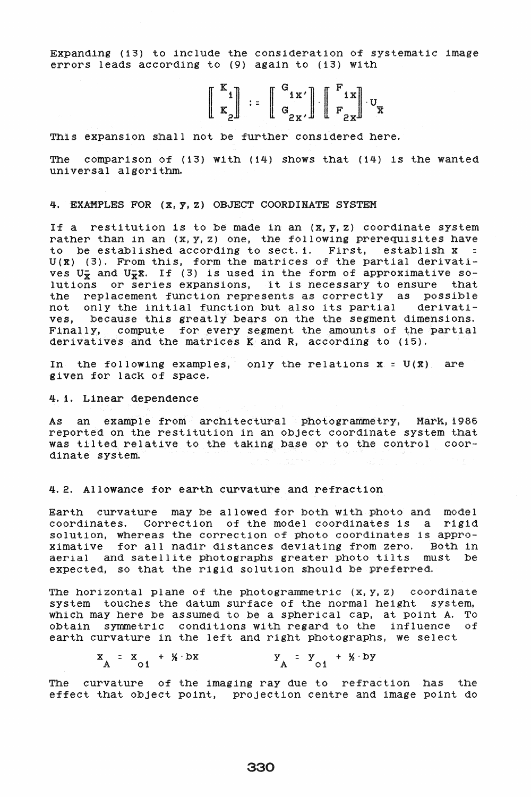Expanding (13) to include the consideration of systematic image errors leads according to (9) again to (13) with

$$
\left[\begin{array}{c} \mathbf{K}_1 \\ \mathbf{K}_2 \end{array}\right] := \left[\begin{array}{c} \mathbf{G}_{1\mathbf{X}'} \\ \mathbf{G}_{2\mathbf{X}} \end{array}\right] \left[\begin{array}{c} \mathbf{F}_{1\mathbf{X}} \\ \mathbf{F}_{2\mathbf{X}} \end{array}\right] \mathbf{U}_{\mathbf{X}}
$$

This expanslon shall not be further consldered here.

The comparison of  $(13)$  with  $(14)$  shows that  $(14)$  is the wanted universal algorithm.

### 4. EXAMPLES FOR (x, y, z) OBJECT COORDINATE SYSTEM

If a restitution is to be made in an  $(\bar{x}, \bar{y}, z)$  coordinate system rather than in an  $(x, y, z)$  one, the following prerequisites have to be established according to sect. 1. First, establish  $x =$  $U(X)$  (3). From this, form the matrices of the partial derivatives  $U_{\overline{Y}}$  and  $U_{\overline{Y}}\overline{X}$ . If (3) is used in the form of approximative solutlons or serles expansions, lt is necessary to ensure that the replacement function represents as correctly as possible not only the initial function but also its partial derivatives, because this greatly bears on the the segment dimensions. Finally, compute for every segment the amounts of the partial derivatives and the matrices K and R, according to  $(15)$ .

In the following examples, only the relations  $x = U(x)$  are given for lack of space.

# 4.1. Linear dependence

As an example from architectural photogrammetry. Mark,1986 reported on the restitutlon in an object coordinate system that was tilted relative to the taking base or to the control coordinate system.

### 4.2. Allowance for earth curvature and refraction

Earth curvature may be allowed for both with photo and model coordinates. Correction of the model coordinates is a rigid solution, whereas the correction of photo coordinates is approxlmatlve for all nadlr dlstances devlatlng from zero. Both ln aerial and satellite photographs greater photo tilts must be expected, so that the rigid solution should be preferred.

The horizontal plane of the photogrammetric  $(x, y, z)$  coordinate system touches the datum surface of the normal height system, whlch may here be assumed to be a spherlcal cap. at polnt A. To obtain symmetric conditions with regard to the influence of earth curvature in the left and right photographs, we select

 $x_A = x_{01} + Y \cdot bx$   $y_A = y_{01} + Y \cdot by$ 

The curvature of the imaging ray due to refraction has the effect that object point, projection centre and image point do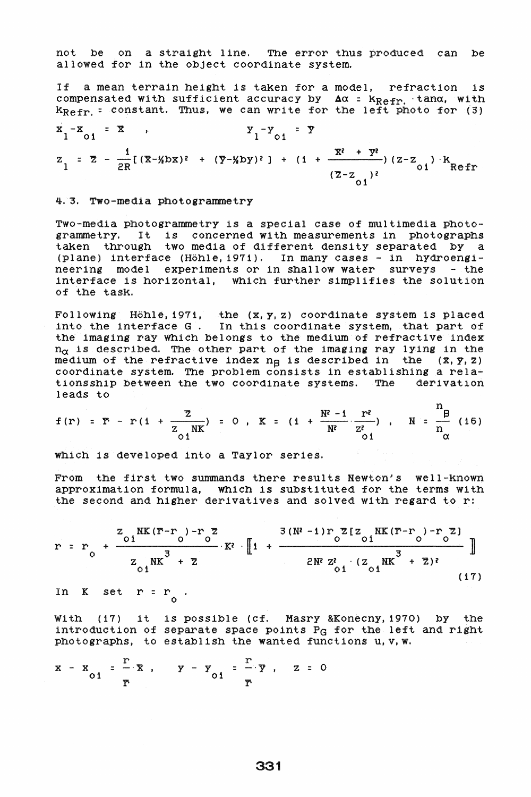not be on a straight line. The error thus produced can be allowed for in the object coordinate system.

If a mean terrain height is taken for a model, refraction is compensated with sufficient accuracy by  $\Delta \alpha$  =  $k_{\text{Refr}}$ , tan $\alpha$ , with  $k_{\text{Refr}}$  = constant. Thus, we can write for the left photo for (3)

$$
x_{1} - x_{01} = x , \t y_{1} - y_{01} = y
$$
  

$$
z_{1} = \overline{z} - \frac{1}{2R} [(\overline{x} - x_{01})^2 + (\overline{y} - x_{01})^2] + (1 + \frac{\overline{x}^2 + \overline{y}^2}{(\overline{z} - z_{01})^2}) (z - z_{01})^k
$$

4.3. Two-media photogrammetry

Two-media photogrammetry is a special case of multimedia photogramme try. It is concerned with measurements in photographs taken through two media of different density separated by a (plane) interface (Hohle,1971). In many cases - in hYdroengineering model experiments or in shallow water surveys - the interface is horizontal, which further simplifies the solution of the task.

Following Hohle,1971, the (x,y,z) coordinate system is placed into the interface G. In this coordinate system, that part of the imaging ray which belongs to the medium of refractive index  $n_{\alpha}$  is described. The other part of the imaging ray lying in the medium of the refractive index  $n_B$  is described in the  $(x, y, z)$ coordinate system. The problem consists in establishing a relationsship between the two coordinate systems. The derivation leads to

$$
f(r) = \overline{r} - r(1 + \frac{\overline{z}}{z_{01}NK}) = 0
$$
,  $K = (1 + \frac{N^2 - 1}{N^2} \cdot \frac{r^2}{z_{01}^2})$ ,  $N = \frac{n}{n} (16)$ 

which is developed into a Taylor series.

From the first two summands there results Newton's well-known approximation formula, which is substituted for the terms with the second and higher derivatives and solved with regard to r:

$$
r = r_0 + \frac{z_{01}NK(r-r_0) - r_0 Z}{z_{01}NK^3 + Z} \cdot K^2 \cdot \left[1 + \frac{3(N^2 - 1) r_0 Z [z_{01}NK(r-r_0) - r_0 Z]}{2N^2 Z_{01}^2 \cdot (z_{01}NK^3 + Z)^2}\right]
$$
(17)

In  $K$  set  $r = r_0$ 

With (17) it is possible (cf. Masry & Konecny, 1970) by the introduction of separate space points  $P_G$  for the left and right photographs, to establish the wanted functions u,v,w.

$$
x - x_{01} = \frac{r}{r} \cdot x , \qquad y - y_{01} = \frac{r}{r} \cdot y , \qquad z = 0
$$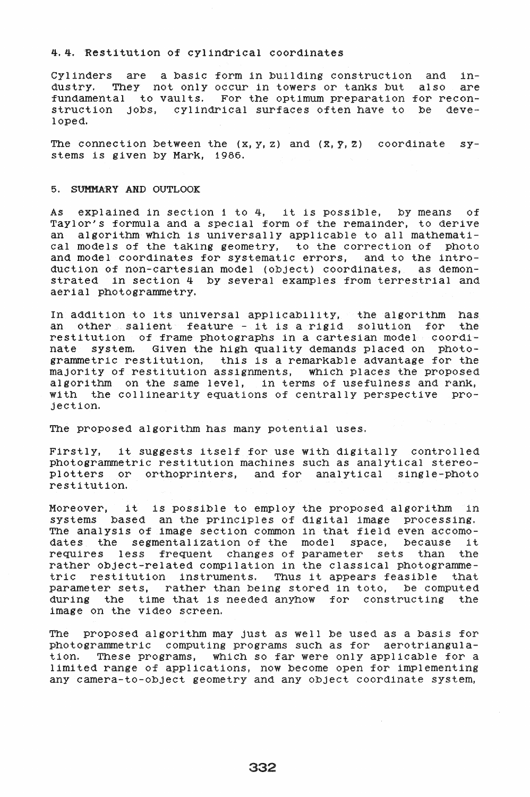### 4.4. Restitution of cylindrical coordinates

Cylinders are a basic form in building construction and in-<br>dustry. They not only occur in towers or tanks but also are They not only occur in towers or tanks but also are fundamental to vaults. For the optimum preparation for reconstruction jobs, cylindrical surfaces often have to be developed.

The connection between the  $(x, y, z)$  and  $(x, y, z)$  coordinate systems is given by MarK, 1986.

# 5. SUMMARY AND OUTLOOK

As explained in section 1 to 4, it is possible, by means of Taylor's formula and a special form of the remainder, to derive an algorithm which is universally applicable to all mathematical models of the taking geometry, to the correction of photo and model coordinates for systematic errors, and to the introduction of non-cartesian model (object) coordinates, as demonstrated in section 4 by several examples from terrestrial and aerial photogrammetry.

In addition to its universal applicability, the algorithm has an other salient feature - it is a rigid solution for the restitution of frame photographs in a cartesian model coordinate system. Given the h1gh quality demands placed on photogrammetric restitution, this 1s a remarKable advantage for the majority of restitution aSSignments, which places the proposed algorithm on the same level, in terms of usefulness and ranK, with the collinearity equations of centrally perspective projection.

The proposed algorithm has many potential uses.

Firstly, 1t suggests itself for use with digitally controlled photogrammetric restitution machines such as analytical stereoplotters or orthoprinters, and for analytical Single-photo restitution.

Moreover, it is possible to employ the proposed algorithm in systems based an the principles of digital image processing. The analysis of image section common in that field even accomodates the segmentalization of the model space, because it<br>requires less frequent changes of parameter sets than the requires less frequent changes of parameter sets than rather object-related compilation in the classical photogrammetric restitution instruments. Thus it appears feasible that parameter sets, rather than being stored in toto, be computed during the time that is needed anyhow for constructing the image on the video screen.

The proposed algorithm may just as well be used as a basis for photogrammetric computing programs such as for aerotriangulation. These programs, which so far were only applicable for a limited range of applications, now become open for implementing any camera-to-object geometry and any object coordinate system,